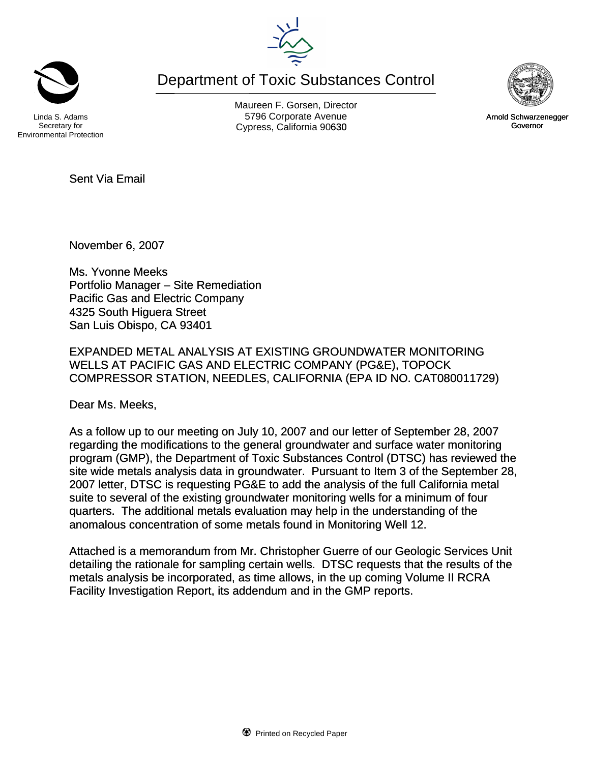Department of Toxic Substances Control

Secretary for Environmental Protection

Maureen F. Gorsen, Director Linda S. Adams **Example 20** Corporate Avenue Christian Avenue 5796 Corporate Avenue Cypress, California 90630 **Canadian Cypress**, California 90630



November 6, 2007

Sent Via Email

Ms. Yvonne Meeks Portfolio Manager – Site Remediation Pacific Gas and Electric Company 4325 South Higuera Street San Luis Obispo, CA 93401

EXPANDED METAL ANALYSIS AT EXISTING GROUNDWATER MONITORING WELLS AT PACIFIC GAS AND ELECTRIC COMPANY (PG&E), TOPOCK COMPRESSOR STATION, NEEDLES, CALIFORNIA (EPA ID NO. CAT080011729)

Dear Ms. Meeks,

As a follow up to our meeting on July 10, 2007 and our letter of September 28, 2007 regarding the modifications to the general groundwater and surface water monitoring program (GMP), the Department of Toxic Substances Control (DTSC) has reviewed the site wide metals analysis data in groundwater. Pursuant to Item 3 of the September 28, 2007 letter, DTSC is requesting PG&E to add the analysis of the full California metal suite to several of the existing groundwater monitoring wells for a minimum of four quarters. The additional metals evaluation may help in the understanding of the anomalous concentration of some metals found in Monitoring Well 12.

Attached is a memorandum from Mr. Christopher Guerre of our Geologic Services Unit detailing the rationale for sampling certain wells. DTSC requests that the results of the metals analysis be incorporated, as time allows, in the up coming Volume II RCRA Facility Investigation Report, its addendum and in the GMP reports.





Governor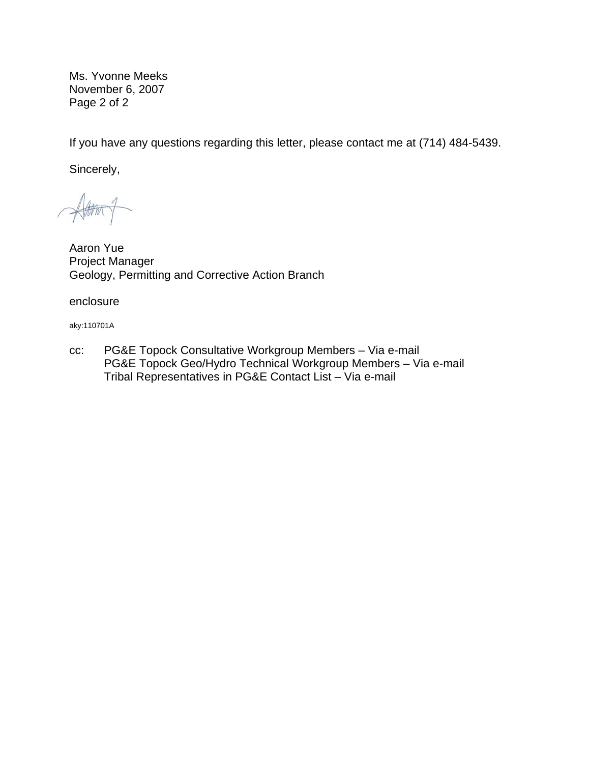Ms. Yvonne Meeks November 6, 2007 Page 2 of 2

If you have any questions regarding this letter, please contact me at (714) 484-5439.

Sincerely,

Aaron Yue Project Manager Geology, Permitting and Corrective Action Branch

enclosure

aky:110701A

cc: PG&E Topock Consultative Workgroup Members – Via e-mail PG&E Topock Geo/Hydro Technical Workgroup Members – Via e-mail Tribal Representatives in PG&E Contact List – Via e-mail